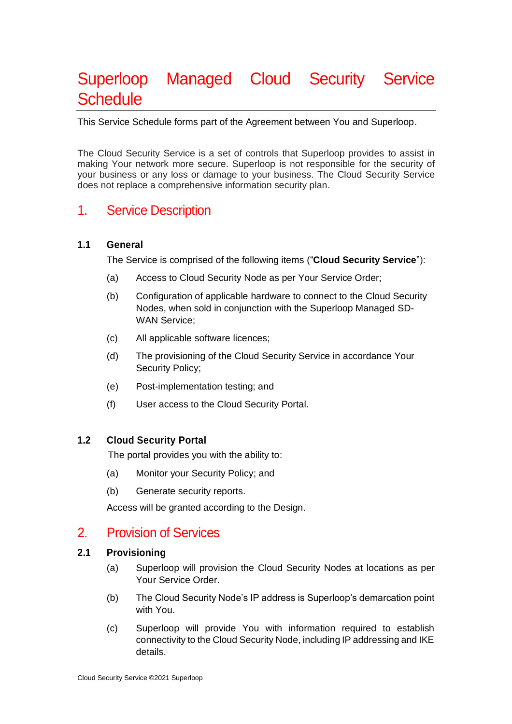# Superloop Managed Cloud Security Service **Schedule**

This Service Schedule forms part of the Agreement between You and Superloop.

The Cloud Security Service is a set of controls that Superloop provides to assist in making Your network more secure. Superloop is not responsible for the security of your business or any loss or damage to your business. The Cloud Security Service does not replace a comprehensive information security plan.

# 1. Service Description

#### **1.1 General**

The Service is comprised of the following items ("**Cloud Security Service**"):

- (a) Access to Cloud Security Node as per Your Service Order;
- (b) Configuration of applicable hardware to connect to the Cloud Security Nodes, when sold in conjunction with the Superloop Managed SD-WAN Service;
- (c) All applicable software licences;
- (d) The provisioning of the Cloud Security Service in accordance Your Security Policy;
- (e) Post-implementation testing; and
- (f) User access to the Cloud Security Portal.

#### **1.2 Cloud Security Portal**

The portal provides you with the ability to:

- (a) Monitor your Security Policy; and
- (b) Generate security reports.

Access will be granted according to the Design.

### 2. Provision of Services

#### **2.1 Provisioning**

- (a) Superloop will provision the Cloud Security Nodes at locations as per Your Service Order.
- (b) The Cloud Security Node's IP address is Superloop's demarcation point with You.
- (c) Superloop will provide You with information required to establish connectivity to the Cloud Security Node, including IP addressing and IKE details.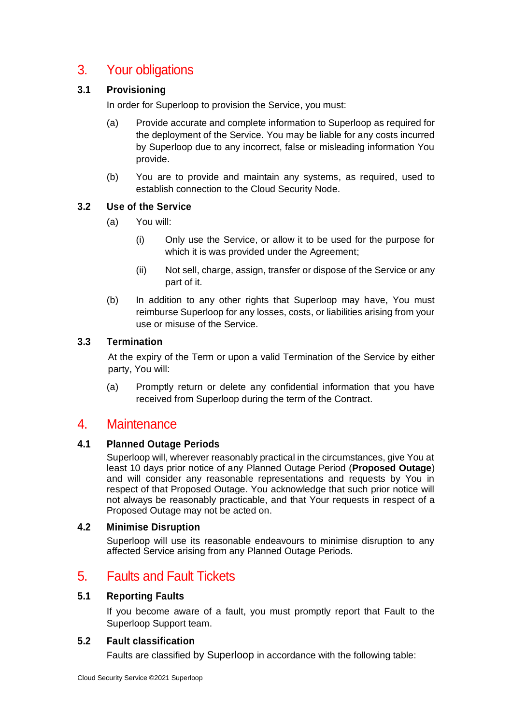# 3. Your obligations

#### **3.1 Provisioning**

In order for Superloop to provision the Service, you must:

- (a) Provide accurate and complete information to Superloop as required for the deployment of the Service. You may be liable for any costs incurred by Superloop due to any incorrect, false or misleading information You provide.
- (b) You are to provide and maintain any systems, as required, used to establish connection to the Cloud Security Node.

#### **3.2 Use of the Service**

- (a) You will:
	- (i) Only use the Service, or allow it to be used for the purpose for which it is was provided under the Agreement;
	- (ii) Not sell, charge, assign, transfer or dispose of the Service or any part of it.
- (b) In addition to any other rights that Superloop may have, You must reimburse Superloop for any losses, costs, or liabilities arising from your use or misuse of the Service.

#### **3.3 Termination**

At the expiry of the Term or upon a valid Termination of the Service by either party, You will:

(a) Promptly return or delete any confidential information that you have received from Superloop during the term of the Contract.

# 4. Maintenance

#### **4.1 Planned Outage Periods**

Superloop will, wherever reasonably practical in the circumstances, give You at least 10 days prior notice of any Planned Outage Period (**Proposed Outage**) and will consider any reasonable representations and requests by You in respect of that Proposed Outage. You acknowledge that such prior notice will not always be reasonably practicable, and that Your requests in respect of a Proposed Outage may not be acted on.

#### **4.2 Minimise Disruption**

Superloop will use its reasonable endeavours to minimise disruption to any affected Service arising from any Planned Outage Periods.

# 5. Faults and Fault Tickets

#### **5.1 Reporting Faults**

If you become aware of a fault, you must promptly report that Fault to the Superloop Support team.

#### **5.2 Fault classification**

Faults are classified by Superloop in accordance with the following table: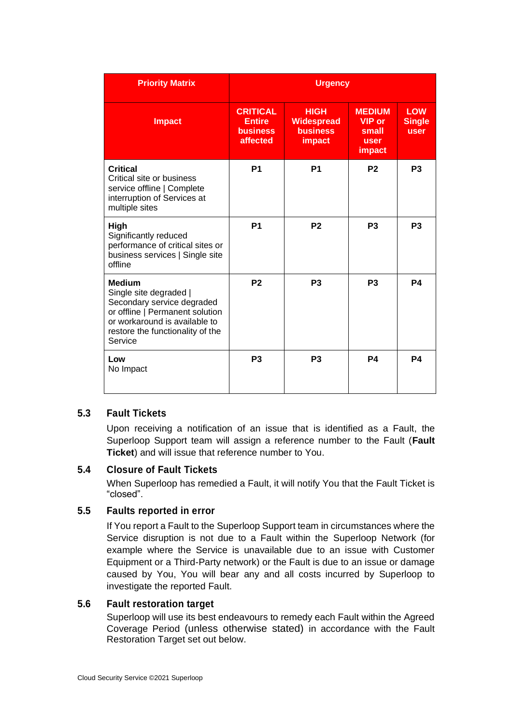| <b>Priority Matrix</b>                                                                                                                                                                   | <b>Urgency</b>                                                  |                                                               |                                                                  |                                     |
|------------------------------------------------------------------------------------------------------------------------------------------------------------------------------------------|-----------------------------------------------------------------|---------------------------------------------------------------|------------------------------------------------------------------|-------------------------------------|
| <b>Impact</b>                                                                                                                                                                            | <b>CRITICAL</b><br><b>Entire</b><br><b>business</b><br>affected | <b>HIGH</b><br><b>Widespread</b><br><b>business</b><br>impact | <b>MEDIUM</b><br><b>VIP</b> or<br>small<br>user<br><b>impact</b> | <b>LOW</b><br><b>Single</b><br>user |
| Critical<br>Critical site or business<br>service offline   Complete<br>interruption of Services at<br>multiple sites                                                                     | <b>P1</b>                                                       | P <sub>1</sub>                                                | P <sub>2</sub>                                                   | P <sub>3</sub>                      |
| High<br>Significantly reduced<br>performance of critical sites or<br>business services   Single site<br>offline                                                                          | <b>P1</b>                                                       | P <sub>2</sub>                                                | P <sub>3</sub>                                                   | P <sub>3</sub>                      |
| <b>Medium</b><br>Single site degraded  <br>Secondary service degraded<br>or offline   Permanent solution<br>or workaround is available to<br>restore the functionality of the<br>Service | P <sub>2</sub>                                                  | P <sub>3</sub>                                                | P <sub>3</sub>                                                   | <b>P4</b>                           |
| Low<br>No Impact                                                                                                                                                                         | P <sub>3</sub>                                                  | P <sub>3</sub>                                                | P <sub>4</sub>                                                   | P <sub>4</sub>                      |

#### **5.3 Fault Tickets**

Upon receiving a notification of an issue that is identified as a Fault, the Superloop Support team will assign a reference number to the Fault (**Fault Ticket**) and will issue that reference number to You.

#### **5.4 Closure of Fault Tickets**

When Superloop has remedied a Fault, it will notify You that the Fault Ticket is "closed".

#### **5.5 Faults reported in error**

If You report a Fault to the Superloop Support team in circumstances where the Service disruption is not due to a Fault within the Superloop Network (for example where the Service is unavailable due to an issue with Customer Equipment or a Third-Party network) or the Fault is due to an issue or damage caused by You, You will bear any and all costs incurred by Superloop to investigate the reported Fault.

#### **5.6 Fault restoration target**

Superloop will use its best endeavours to remedy each Fault within the Agreed Coverage Period (unless otherwise stated) in accordance with the Fault Restoration Target set out below.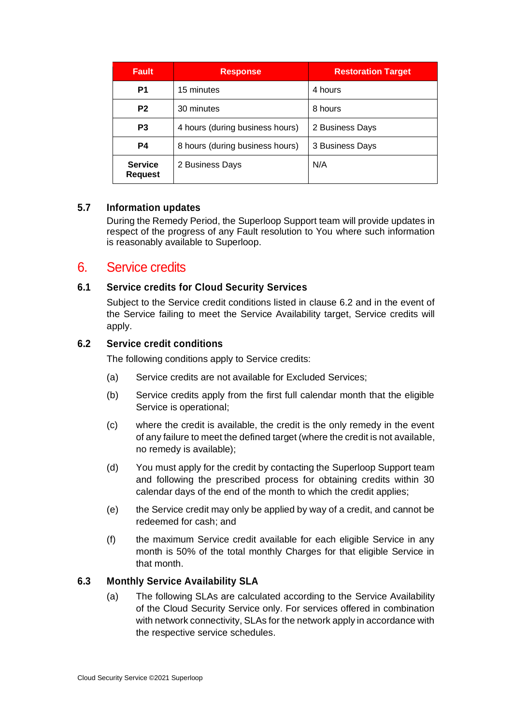| <b>Fault</b>                     | <b>Response</b>                 | <b>Restoration Target</b> |
|----------------------------------|---------------------------------|---------------------------|
| P <sub>1</sub>                   | 15 minutes                      | 4 hours                   |
| P <sub>2</sub>                   | 30 minutes                      | 8 hours                   |
| P <sub>3</sub>                   | 4 hours (during business hours) | 2 Business Days           |
| P4                               | 8 hours (during business hours) | 3 Business Days           |
| <b>Service</b><br><b>Request</b> | 2 Business Days                 | N/A                       |

#### **5.7 Information updates**

During the Remedy Period, the Superloop Support team will provide updates in respect of the progress of any Fault resolution to You where such information is reasonably available to Superloop.

# 6. Service credits

#### **6.1 Service credits for Cloud Security Services**

Subject to the Service credit conditions listed in clause 6.2 and in the event of the Service failing to meet the Service Availability target, Service credits will apply.

#### **6.2 Service credit conditions**

The following conditions apply to Service credits:

- (a) Service credits are not available for Excluded Services;
- (b) Service credits apply from the first full calendar month that the eligible Service is operational;
- (c) where the credit is available, the credit is the only remedy in the event of any failure to meet the defined target (where the credit is not available, no remedy is available);
- (d) You must apply for the credit by contacting the Superloop Support team and following the prescribed process for obtaining credits within 30 calendar days of the end of the month to which the credit applies;
- (e) the Service credit may only be applied by way of a credit, and cannot be redeemed for cash; and
- (f) the maximum Service credit available for each eligible Service in any month is 50% of the total monthly Charges for that eligible Service in that month.

#### **6.3 Monthly Service Availability SLA**

(a) The following SLAs are calculated according to the Service Availability of the Cloud Security Service only. For services offered in combination with network connectivity, SLAs for the network apply in accordance with the respective service schedules.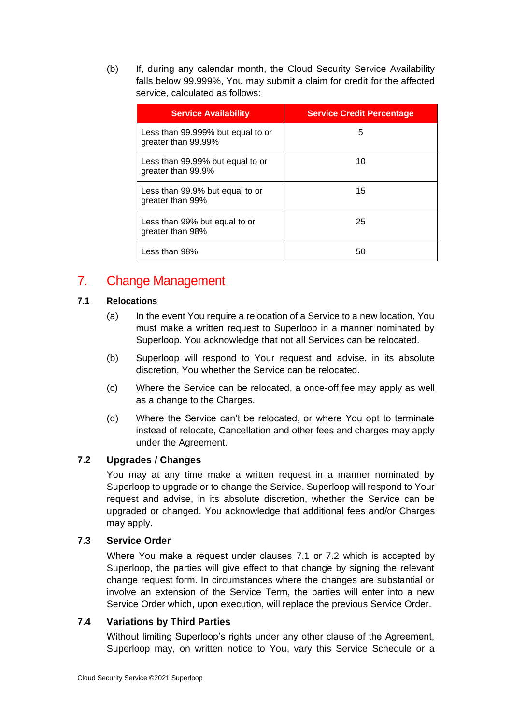(b) If, during any calendar month, the Cloud Security Service Availability falls below 99.999%, You may submit a claim for credit for the affected service, calculated as follows:

| <b>Service Availability</b>                              | <b>Service Credit Percentage</b> |
|----------------------------------------------------------|----------------------------------|
| Less than 99.999% but equal to or<br>greater than 99.99% | 5                                |
| Less than 99.99% but equal to or<br>greater than 99.9%   | 10                               |
| Less than 99.9% but equal to or<br>greater than 99%      | 15                               |
| Less than 99% but equal to or<br>greater than 98%        | 25                               |
| Less than 98%                                            | 50                               |

# 7. Change Management

#### **7.1 Relocations**

- (a) In the event You require a relocation of a Service to a new location, You must make a written request to Superloop in a manner nominated by Superloop. You acknowledge that not all Services can be relocated.
- (b) Superloop will respond to Your request and advise, in its absolute discretion, You whether the Service can be relocated.
- (c) Where the Service can be relocated, a once-off fee may apply as well as a change to the Charges.
- (d) Where the Service can't be relocated, or where You opt to terminate instead of relocate, Cancellation and other fees and charges may apply under the Agreement.

#### **7.2 Upgrades / Changes**

You may at any time make a written request in a manner nominated by Superloop to upgrade or to change the Service. Superloop will respond to Your request and advise, in its absolute discretion, whether the Service can be upgraded or changed. You acknowledge that additional fees and/or Charges may apply.

#### **7.3 Service Order**

Where You make a request under clauses 7.1 or 7.2 which is accepted by Superloop, the parties will give effect to that change by signing the relevant change request form. In circumstances where the changes are substantial or involve an extension of the Service Term, the parties will enter into a new Service Order which, upon execution, will replace the previous Service Order.

#### **7.4 Variations by Third Parties**

Without limiting Superloop's rights under any other clause of the Agreement, Superloop may, on written notice to You, vary this Service Schedule or a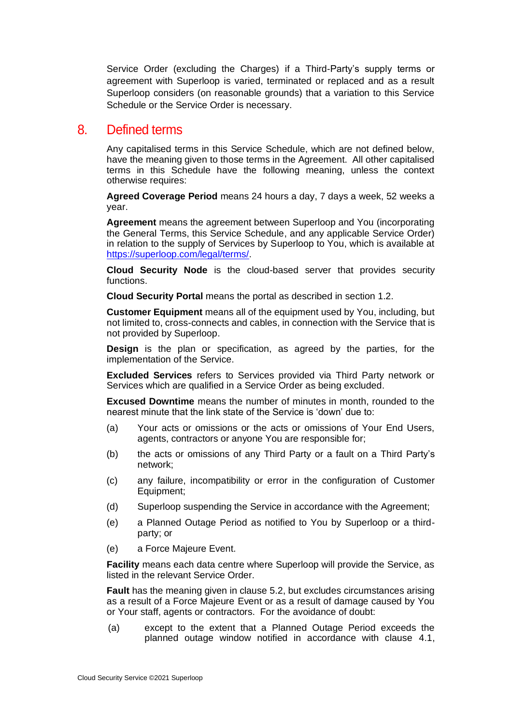Service Order (excluding the Charges) if a Third-Party's supply terms or agreement with Superloop is varied, terminated or replaced and as a result Superloop considers (on reasonable grounds) that a variation to this Service Schedule or the Service Order is necessary.

### 8. Defined terms

Any capitalised terms in this Service Schedule, which are not defined below, have the meaning given to those terms in the Agreement. All other capitalised terms in this Schedule have the following meaning, unless the context otherwise requires:

**Agreed Coverage Period** means 24 hours a day, 7 days a week, 52 weeks a year.

**Agreement** means the agreement between Superloop and You (incorporating the General Terms, this Service Schedule, and any applicable Service Order) in relation to the supply of Services by Superloop to You, which is available at [https://superloop.com/legal/terms/.](https://superloop.com/legal/terms/)

**Cloud Security Node** is the cloud-based server that provides security functions.

**Cloud Security Portal** means the portal as described in section 1.2.

**Customer Equipment** means all of the equipment used by You, including, but not limited to, cross-connects and cables, in connection with the Service that is not provided by Superloop.

**Design** is the plan or specification, as agreed by the parties, for the implementation of the Service.

**Excluded Services** refers to Services provided via Third Party network or Services which are qualified in a Service Order as being excluded.

**Excused Downtime** means the number of minutes in month, rounded to the nearest minute that the link state of the Service is 'down' due to:

- (a) Your acts or omissions or the acts or omissions of Your End Users, agents, contractors or anyone You are responsible for;
- (b) the acts or omissions of any Third Party or a fault on a Third Party's network;
- (c) any failure, incompatibility or error in the configuration of Customer Equipment;
- (d) Superloop suspending the Service in accordance with the Agreement;
- (e) a Planned Outage Period as notified to You by Superloop or a thirdparty; or
- (e) a Force Majeure Event.

**Facility** means each data centre where Superloop will provide the Service, as listed in the relevant Service Order.

**Fault** has the meaning given in clause 5.2, but excludes circumstances arising as a result of a Force Majeure Event or as a result of damage caused by You or Your staff, agents or contractors. For the avoidance of doubt:

(a) except to the extent that a Planned Outage Period exceeds the planned outage window notified in accordance with clause 4.1,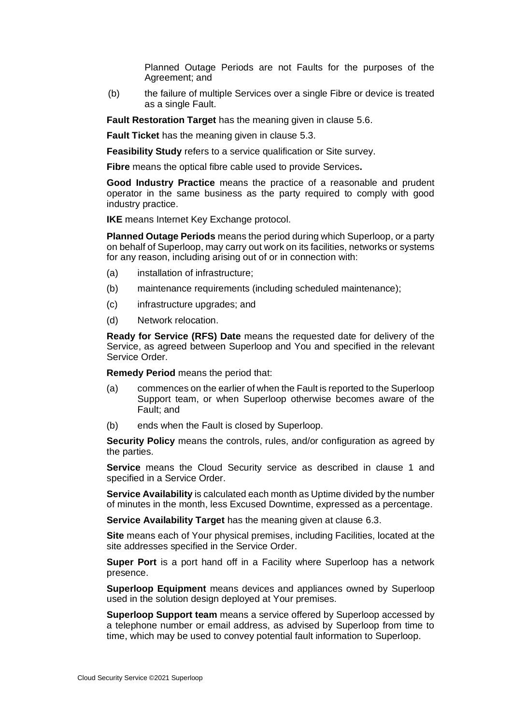Planned Outage Periods are not Faults for the purposes of the Agreement; and

(b) the failure of multiple Services over a single Fibre or device is treated as a single Fault.

**Fault Restoration Target** has the meaning given in clause 5.6.

**Fault Ticket** has the meaning given in clause 5.3.

**Feasibility Study** refers to a service qualification or Site survey.

**Fibre** means the optical fibre cable used to provide Services**.**

**Good Industry Practice** means the practice of a reasonable and prudent operator in the same business as the party required to comply with good industry practice.

**IKE** means Internet Key Exchange protocol.

**Planned Outage Periods** means the period during which Superloop, or a party on behalf of Superloop, may carry out work on its facilities, networks or systems for any reason, including arising out of or in connection with:

- (a) installation of infrastructure;
- (b) maintenance requirements (including scheduled maintenance);
- (c) infrastructure upgrades; and
- (d) Network relocation.

**Ready for Service (RFS) Date** means the requested date for delivery of the Service, as agreed between Superloop and You and specified in the relevant Service Order.

**Remedy Period** means the period that:

- (a) commences on the earlier of when the Fault is reported to the Superloop Support team, or when Superloop otherwise becomes aware of the Fault; and
- (b) ends when the Fault is closed by Superloop.

**Security Policy** means the controls, rules, and/or configuration as agreed by the parties.

**Service** means the Cloud Security service as described in clause 1 and specified in a Service Order.

**Service Availability** is calculated each month as Uptime divided by the number of minutes in the month, less Excused Downtime, expressed as a percentage.

**Service Availability Target** has the meaning given at clause 6.3.

**Site** means each of Your physical premises, including Facilities, located at the site addresses specified in the Service Order.

**Super Port** is a port hand off in a Facility where Superloop has a network presence.

**Superloop Equipment** means devices and appliances owned by Superloop used in the solution design deployed at Your premises.

**Superloop Support team** means a service offered by Superloop accessed by a telephone number or email address, as advised by Superloop from time to time, which may be used to convey potential fault information to Superloop.